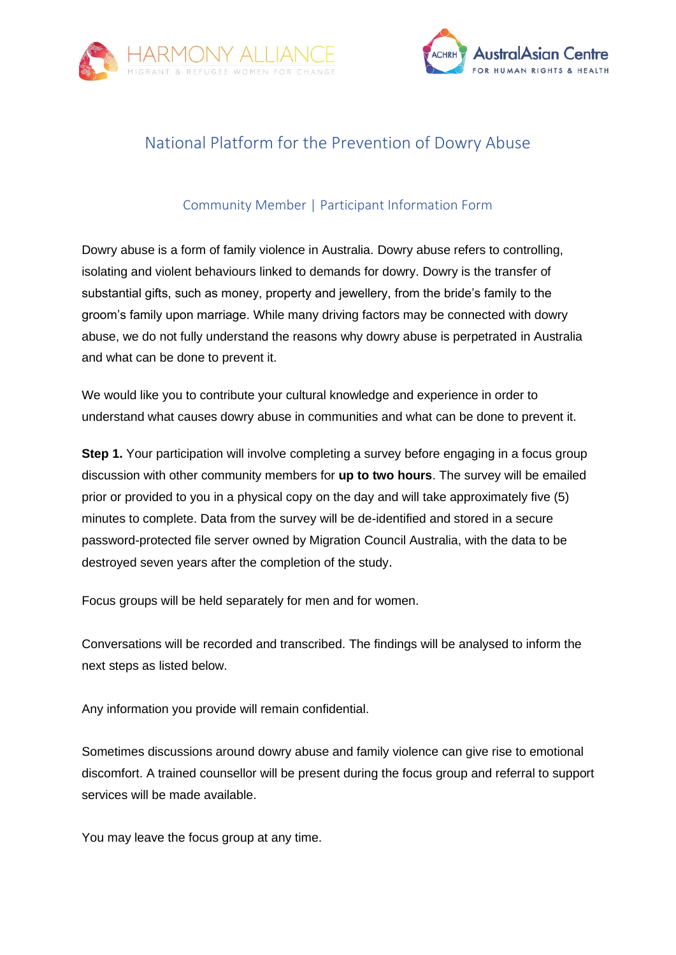



## National Platform for the Prevention of Dowry Abuse

## Community Member | Participant Information Form

Dowry abuse is a form of family violence in Australia. Dowry abuse refers to controlling, isolating and violent behaviours linked to demands for dowry. Dowry is the transfer of substantial gifts, such as money, property and jewellery, from the bride's family to the groom's family upon marriage. While many driving factors may be connected with dowry abuse, we do not fully understand the reasons why dowry abuse is perpetrated in Australia and what can be done to prevent it.

We would like you to contribute your cultural knowledge and experience in order to understand what causes dowry abuse in communities and what can be done to prevent it.

**Step 1.** Your participation will involve completing a survey before engaging in a focus group discussion with other community members for **up to two hours**. The survey will be emailed prior or provided to you in a physical copy on the day and will take approximately five (5) minutes to complete. Data from the survey will be de-identified and stored in a secure password-protected file server owned by Migration Council Australia, with the data to be destroyed seven years after the completion of the study.

Focus groups will be held separately for men and for women.

Conversations will be recorded and transcribed. The findings will be analysed to inform the next steps as listed below.

Any information you provide will remain confidential.

Sometimes discussions around dowry abuse and family violence can give rise to emotional discomfort. A trained counsellor will be present during the focus group and referral to support services will be made available.

You may leave the focus group at any time.